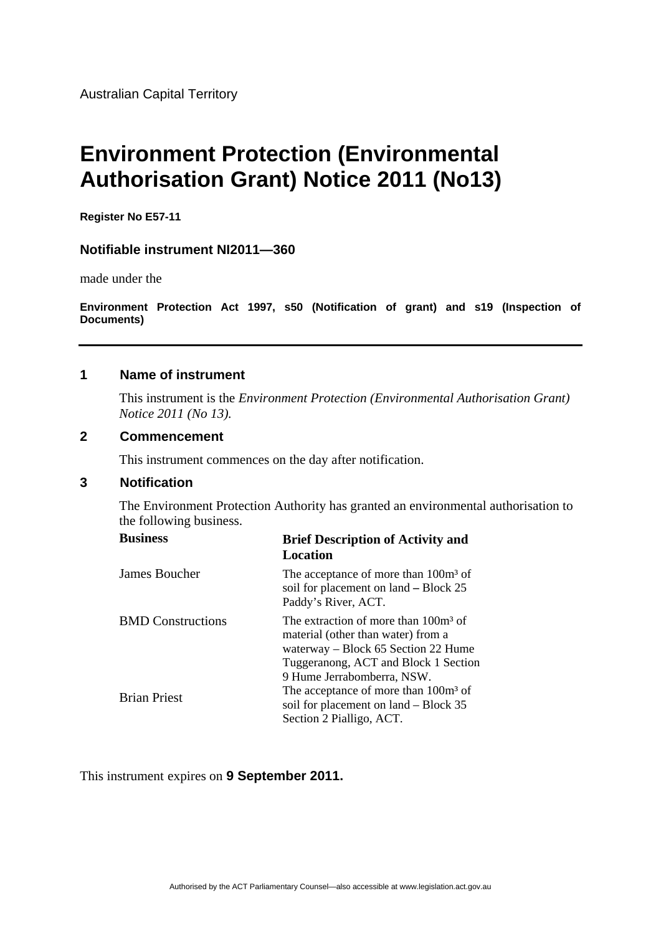Australian Capital Territory

# **Environment Protection (Environmental Authorisation Grant) Notice 2011 (No13)**

**Register No E57-11** 

#### **Notifiable instrument NI2011—360**

made under the

**Environment Protection Act 1997, s50 (Notification of grant) and s19 (Inspection of Documents)** 

## **1 Name of instrument**

This instrument is the *Environment Protection (Environmental Authorisation Grant) Notice 2011 (No 13).* 

#### **2 Commencement**

This instrument commences on the day after notification.

# **3 Notification**

The Environment Protection Authority has granted an environmental authorisation to the following business.

| <b>Business</b>          | <b>Brief Description of Activity and</b><br>Location                                                                                                                                                |
|--------------------------|-----------------------------------------------------------------------------------------------------------------------------------------------------------------------------------------------------|
| James Boucher            | The acceptance of more than 100m <sup>3</sup> of<br>soil for placement on land – Block 25<br>Paddy's River, ACT.                                                                                    |
| <b>BMD</b> Constructions | The extraction of more than 100m <sup>3</sup> of<br>material (other than water) from a<br>waterway – Block 65 Section 22 Hume<br>Tuggeranong, ACT and Block 1 Section<br>9 Hume Jerrabomberra, NSW. |
| <b>Brian Priest</b>      | The acceptance of more than 100m <sup>3</sup> of<br>soil for placement on land – Block 35<br>Section 2 Pialligo, ACT.                                                                               |

This instrument expires on **9 September 2011.**